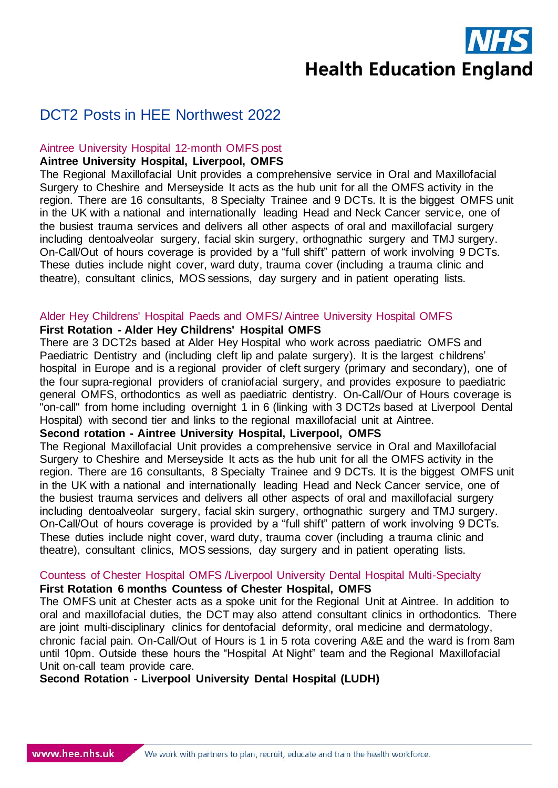**Health Education England** 

# DCT2 Posts in HEE Northwest 2022

# Aintree University Hospital 12-month OMFS post

# **Aintree University Hospital, Liverpool, OMFS**

The Regional Maxillofacial Unit provides a comprehensive service in Oral and Maxillofacial Surgery to Cheshire and Merseyside It acts as the hub unit for all the OMFS activity in the region. There are 16 consultants, 8 Specialty Trainee and 9 DCTs. It is the biggest OMFS unit in the UK with a national and internationally leading Head and Neck Cancer service, one of the busiest trauma services and delivers all other aspects of oral and maxillofacial surgery including dentoalveolar surgery, facial skin surgery, orthognathic surgery and TMJ surgery. On-Call/Out of hours coverage is provided by a "full shift" pattern of work involving 9 DCTs. These duties include night cover, ward duty, trauma cover (including a trauma clinic and theatre), consultant clinics, MOS sessions, day surgery and in patient operating lists.

### Alder Hey Childrens' Hospital Paeds and OMFS/ Aintree University Hospital OMFS

# **First Rotation - Alder Hey Childrens' Hospital OMFS**

There are 3 DCT2s based at Alder Hey Hospital who work across paediatric OMFS and Paediatric Dentistry and (including cleft lip and palate surgery). It is the largest childrens' hospital in Europe and is a regional provider of cleft surgery (primary and secondary), one of the four supra-regional providers of craniofacial surgery, and provides exposure to paediatric general OMFS, orthodontics as well as paediatric dentistry. On-Call/Our of Hours coverage is "on-call" from home including overnight 1 in 6 (linking with 3 DCT2s based at Liverpool Dental Hospital) with second tier and links to the regional maxillofacial unit at Aintree.

#### **Second rotation - Aintree University Hospital, Liverpool, OMFS**

The Regional Maxillofacial Unit provides a comprehensive service in Oral and Maxillofacial Surgery to Cheshire and Merseyside It acts as the hub unit for all the OMFS activity in the region. There are 16 consultants, 8 Specialty Trainee and 9 DCTs. It is the biggest OMFS unit in the UK with a national and internationally leading Head and Neck Cancer service, one of the busiest trauma services and delivers all other aspects of oral and maxillofacial surgery including dentoalveolar surgery, facial skin surgery, orthognathic surgery and TMJ surgery. On-Call/Out of hours coverage is provided by a "full shift" pattern of work involving 9 DCTs. These duties include night cover, ward duty, trauma cover (including a trauma clinic and theatre), consultant clinics, MOS sessions, day surgery and in patient operating lists.

# Countess of Chester Hospital OMFS /Liverpool University Dental Hospital Multi-Specialty

# **First Rotation 6 months Countess of Chester Hospital, OMFS**

The OMFS unit at Chester acts as a spoke unit for the Regional Unit at Aintree. In addition to oral and maxillofacial duties, the DCT may also attend consultant clinics in orthodontics. There are joint multi-disciplinary clinics for dentofacial deformity, oral medicine and dermatology, chronic facial pain. On-Call/Out of Hours is 1 in 5 rota covering A&E and the ward is from 8am until 10pm. Outside these hours the "Hospital At Night" team and the Regional Maxillofacial Unit on-call team provide care.

**Second Rotation - Liverpool University Dental Hospital (LUDH)**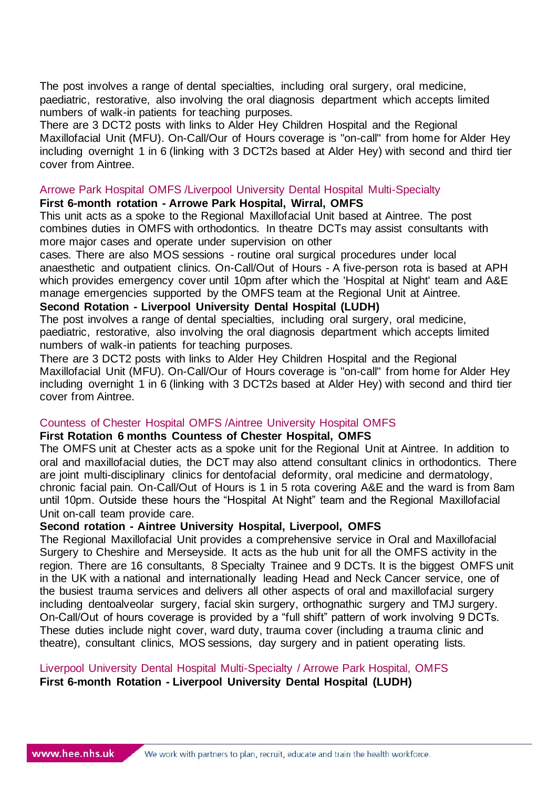The post involves a range of dental specialties, including oral surgery, oral medicine, paediatric, restorative, also involving the oral diagnosis department which accepts limited numbers of walk-in patients for teaching purposes.

There are 3 DCT2 posts with links to Alder Hey Children Hospital and the Regional Maxillofacial Unit (MFU). On-Call/Our of Hours coverage is "on-call" from home for Alder Hey including overnight 1 in 6 (linking with 3 DCT2s based at Alder Hey) with second and third tier cover from Aintree.

#### Arrowe Park Hospital OMFS /Liverpool University Dental Hospital Multi-Specialty

# **First 6-month rotation - Arrowe Park Hospital, Wirral, OMFS**

This unit acts as a spoke to the Regional Maxillofacial Unit based at Aintree. The post combines duties in OMFS with orthodontics. In theatre DCTs may assist consultants with more major cases and operate under supervision on other

cases. There are also MOS sessions - routine oral surgical procedures under local anaesthetic and outpatient clinics. On-Call/Out of Hours - A five-person rota is based at APH which provides emergency cover until 10pm after which the 'Hospital at Night' team and A&E manage emergencies supported by the OMFS team at the Regional Unit at Aintree.

# **Second Rotation - Liverpool University Dental Hospital (LUDH)**

The post involves a range of dental specialties, including oral surgery, oral medicine, paediatric, restorative, also involving the oral diagnosis department which accepts limited numbers of walk-in patients for teaching purposes.

There are 3 DCT2 posts with links to Alder Hey Children Hospital and the Regional Maxillofacial Unit (MFU). On-Call/Our of Hours coverage is "on-call" from home for Alder Hey including overnight 1 in 6 (linking with 3 DCT2s based at Alder Hey) with second and third tier cover from Aintree.

# Countess of Chester Hospital OMFS /Aintree University Hospital OMFS

#### **First Rotation 6 months Countess of Chester Hospital, OMFS**

The OMFS unit at Chester acts as a spoke unit for the Regional Unit at Aintree. In addition to oral and maxillofacial duties, the DCT may also attend consultant clinics in orthodontics. There are joint multi-disciplinary clinics for dentofacial deformity, oral medicine and dermatology, chronic facial pain. On-Call/Out of Hours is 1 in 5 rota covering A&E and the ward is from 8am until 10pm. Outside these hours the "Hospital At Night" team and the Regional Maxillofacial Unit on-call team provide care.

# **Second rotation - Aintree University Hospital, Liverpool, OMFS**

The Regional Maxillofacial Unit provides a comprehensive service in Oral and Maxillofacial Surgery to Cheshire and Merseyside. It acts as the hub unit for all the OMFS activity in the region. There are 16 consultants, 8 Specialty Trainee and 9 DCTs. It is the biggest OMFS unit in the UK with a national and internationally leading Head and Neck Cancer service, one of the busiest trauma services and delivers all other aspects of oral and maxillofacial surgery including dentoalveolar surgery, facial skin surgery, orthognathic surgery and TMJ surgery. On-Call/Out of hours coverage is provided by a "full shift" pattern of work involving 9 DCTs. These duties include night cover, ward duty, trauma cover (including a trauma clinic and theatre), consultant clinics, MOS sessions, day surgery and in patient operating lists.

# Liverpool University Dental Hospital Multi-Specialty / Arrowe Park Hospital, OMFS

**First 6-month Rotation - Liverpool University Dental Hospital (LUDH)**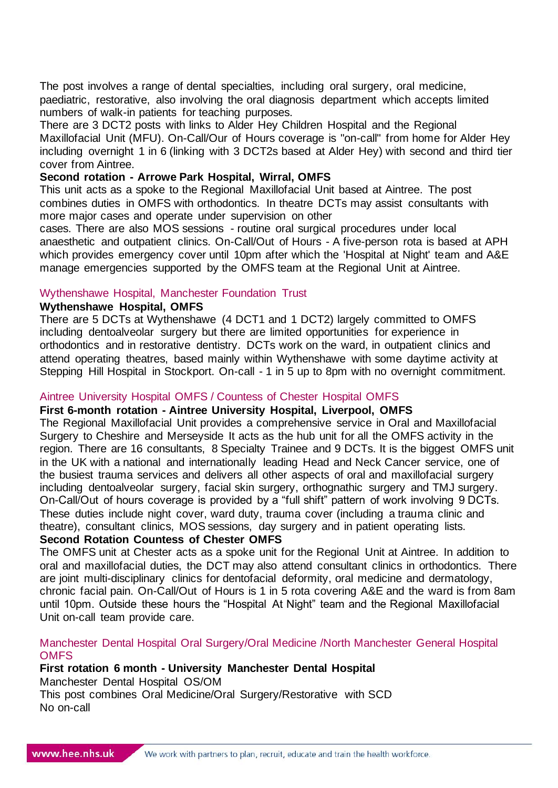The post involves a range of dental specialties, including oral surgery, oral medicine, paediatric, restorative, also involving the oral diagnosis department which accepts limited numbers of walk-in patients for teaching purposes.

There are 3 DCT2 posts with links to Alder Hey Children Hospital and the Regional Maxillofacial Unit (MFU). On-Call/Our of Hours coverage is "on-call" from home for Alder Hey including overnight 1 in 6 (linking with 3 DCT2s based at Alder Hey) with second and third tier cover from Aintree.

### **Second rotation - Arrowe Park Hospital, Wirral, OMFS**

This unit acts as a spoke to the Regional Maxillofacial Unit based at Aintree. The post combines duties in OMFS with orthodontics. In theatre DCTs may assist consultants with more major cases and operate under supervision on other

cases. There are also MOS sessions - routine oral surgical procedures under local anaesthetic and outpatient clinics. On-Call/Out of Hours - A five-person rota is based at APH which provides emergency cover until 10pm after which the 'Hospital at Night' team and A&E manage emergencies supported by the OMFS team at the Regional Unit at Aintree.

# Wythenshawe Hospital, Manchester Foundation Trust

#### **Wythenshawe Hospital, OMFS**

There are 5 DCTs at Wythenshawe (4 DCT1 and 1 DCT2) largely committed to OMFS including dentoalveolar surgery but there are limited opportunities for experience in orthodontics and in restorative dentistry. DCTs work on the ward, in outpatient clinics and attend operating theatres, based mainly within Wythenshawe with some daytime activity at Stepping Hill Hospital in Stockport. On-call - 1 in 5 up to 8pm with no overnight commitment.

# Aintree University Hospital OMFS / Countess of Chester Hospital OMFS

# **First 6-month rotation - Aintree University Hospital, Liverpool, OMFS**

The Regional Maxillofacial Unit provides a comprehensive service in Oral and Maxillofacial Surgery to Cheshire and Merseyside It acts as the hub unit for all the OMFS activity in the region. There are 16 consultants, 8 Specialty Trainee and 9 DCTs. It is the biggest OMFS unit in the UK with a national and internationally leading Head and Neck Cancer service, one of the busiest trauma services and delivers all other aspects of oral and maxillofacial surgery including dentoalveolar surgery, facial skin surgery, orthognathic surgery and TMJ surgery. On-Call/Out of hours coverage is provided by a "full shift" pattern of work involving 9 DCTs. These duties include night cover, ward duty, trauma cover (including a trauma clinic and theatre), consultant clinics, MOS sessions, day surgery and in patient operating lists.

# **Second Rotation Countess of Chester OMFS**

The OMFS unit at Chester acts as a spoke unit for the Regional Unit at Aintree. In addition to oral and maxillofacial duties, the DCT may also attend consultant clinics in orthodontics. There are joint multi-disciplinary clinics for dentofacial deformity, oral medicine and dermatology, chronic facial pain. On-Call/Out of Hours is 1 in 5 rota covering A&E and the ward is from 8am until 10pm. Outside these hours the "Hospital At Night" team and the Regional Maxillofacial Unit on-call team provide care.

### Manchester Dental Hospital Oral Surgery/Oral Medicine /North Manchester General Hospital **OMFS**

# **First rotation 6 month - University Manchester Dental Hospital**  Manchester Dental Hospital OS/OM This post combines Oral Medicine/Oral Surgery/Restorative with SCD No on-call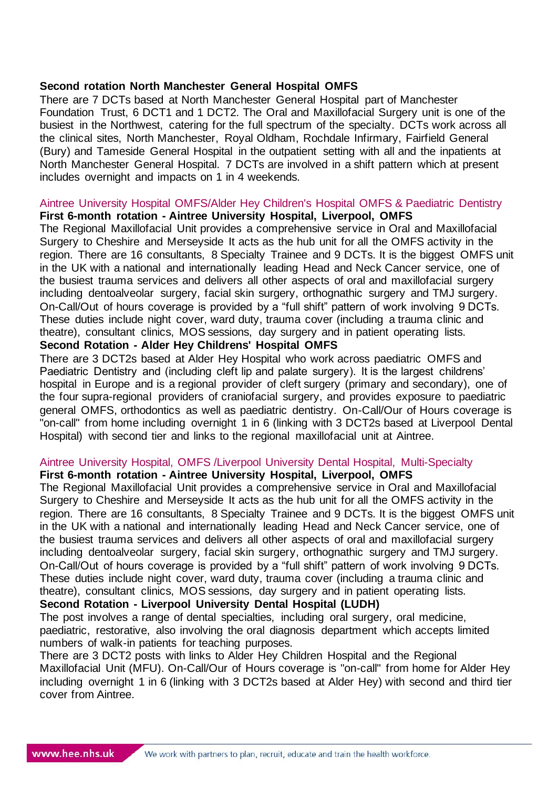# **Second rotation North Manchester General Hospital OMFS**

There are 7 DCTs based at North Manchester General Hospital part of Manchester Foundation Trust, 6 DCT1 and 1 DCT2. The Oral and Maxillofacial Surgery unit is one of the busiest in the Northwest, catering for the full spectrum of the specialty. DCTs work across all the clinical sites, North Manchester, Royal Oldham, Rochdale Infirmary, Fairfield General (Bury) and Tameside General Hospital in the outpatient setting with all and the inpatients at North Manchester General Hospital. 7 DCTs are involved in a shift pattern which at present includes overnight and impacts on 1 in 4 weekends.

#### Aintree University Hospital OMFS/Alder Hey Children's Hospital OMFS & Paediatric Dentistry **First 6-month rotation - Aintree University Hospital, Liverpool, OMFS**

The Regional Maxillofacial Unit provides a comprehensive service in Oral and Maxillofacial Surgery to Cheshire and Merseyside It acts as the hub unit for all the OMFS activity in the region. There are 16 consultants, 8 Specialty Trainee and 9 DCTs. It is the biggest OMFS unit in the UK with a national and internationally leading Head and Neck Cancer service, one of the busiest trauma services and delivers all other aspects of oral and maxillofacial surgery including dentoalveolar surgery, facial skin surgery, orthognathic surgery and TMJ surgery. On-Call/Out of hours coverage is provided by a "full shift" pattern of work involving 9 DCTs. These duties include night cover, ward duty, trauma cover (including a trauma clinic and theatre), consultant clinics, MOS sessions, day surgery and in patient operating lists. **Second Rotation - Alder Hey Childrens' Hospital OMFS** 

There are 3 DCT2s based at Alder Hey Hospital who work across paediatric OMFS and Paediatric Dentistry and (including cleft lip and palate surgery). It is the largest childrens' hospital in Europe and is a regional provider of cleft surgery (primary and secondary), one of the four supra-regional providers of craniofacial surgery, and provides exposure to paediatric general OMFS, orthodontics as well as paediatric dentistry. On-Call/Our of Hours coverage is "on-call" from home including overnight 1 in 6 (linking with 3 DCT2s based at Liverpool Dental Hospital) with second tier and links to the regional maxillofacial unit at Aintree.

# Aintree University Hospital, OMFS /Liverpool University Dental Hospital, Multi-Specialty

#### **First 6-month rotation - Aintree University Hospital, Liverpool, OMFS**

The Regional Maxillofacial Unit provides a comprehensive service in Oral and Maxillofacial Surgery to Cheshire and Merseyside It acts as the hub unit for all the OMFS activity in the region. There are 16 consultants, 8 Specialty Trainee and 9 DCTs. It is the biggest OMFS unit in the UK with a national and internationally leading Head and Neck Cancer service, one of the busiest trauma services and delivers all other aspects of oral and maxillofacial surgery including dentoalveolar surgery, facial skin surgery, orthognathic surgery and TMJ surgery. On-Call/Out of hours coverage is provided by a "full shift" pattern of work involving 9 DCTs. These duties include night cover, ward duty, trauma cover (including a trauma clinic and theatre), consultant clinics, MOS sessions, day surgery and in patient operating lists. **Second Rotation - Liverpool University Dental Hospital (LUDH)**

# The post involves a range of dental specialties, including oral surgery, oral medicine, paediatric, restorative, also involving the oral diagnosis department which accepts limited numbers of walk-in patients for teaching purposes.

There are 3 DCT2 posts with links to Alder Hey Children Hospital and the Regional Maxillofacial Unit (MFU). On-Call/Our of Hours coverage is "on-call" from home for Alder Hey including overnight 1 in 6 (linking with 3 DCT2s based at Alder Hey) with second and third tier cover from Aintree.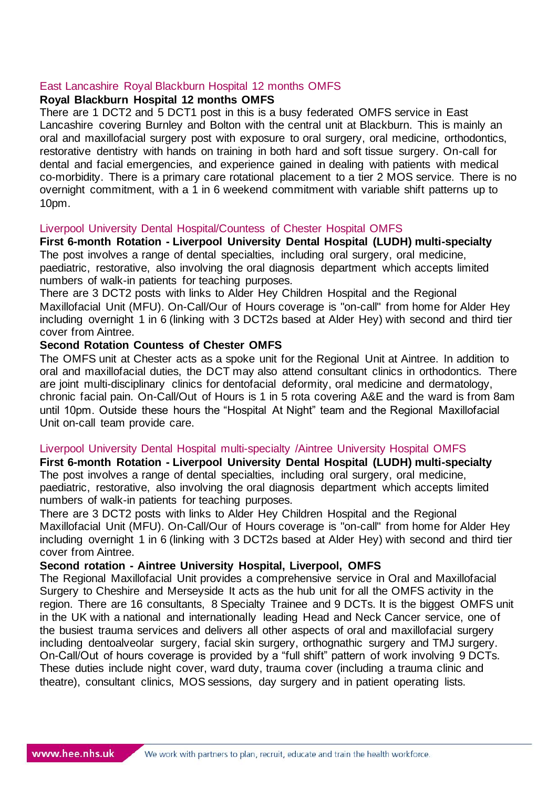### East Lancashire Royal Blackburn Hospital 12 months OMFS

### **Royal Blackburn Hospital 12 months OMFS**

There are 1 DCT2 and 5 DCT1 post in this is a busy federated OMFS service in East Lancashire covering Burnley and Bolton with the central unit at Blackburn. This is mainly an oral and maxillofacial surgery post with exposure to oral surgery, oral medicine, orthodontics, restorative dentistry with hands on training in both hard and soft tissue surgery. On-call for dental and facial emergencies, and experience gained in dealing with patients with medical co-morbidity. There is a primary care rotational placement to a tier 2 MOS service. There is no overnight commitment, with a 1 in 6 weekend commitment with variable shift patterns up to 10pm.

#### Liverpool University Dental Hospital/Countess of Chester Hospital OMFS

**First 6-month Rotation - Liverpool University Dental Hospital (LUDH) multi-specialty** The post involves a range of dental specialties, including oral surgery, oral medicine, paediatric, restorative, also involving the oral diagnosis department which accepts limited numbers of walk-in patients for teaching purposes.

There are 3 DCT2 posts with links to Alder Hey Children Hospital and the Regional Maxillofacial Unit (MFU). On-Call/Our of Hours coverage is "on-call" from home for Alder Hey including overnight 1 in 6 (linking with 3 DCT2s based at Alder Hey) with second and third tier cover from Aintree.

#### **Second Rotation Countess of Chester OMFS**

The OMFS unit at Chester acts as a spoke unit for the Regional Unit at Aintree. In addition to oral and maxillofacial duties, the DCT may also attend consultant clinics in orthodontics. There are joint multi-disciplinary clinics for dentofacial deformity, oral medicine and dermatology, chronic facial pain. On-Call/Out of Hours is 1 in 5 rota covering A&E and the ward is from 8am until 10pm. Outside these hours the "Hospital At Night" team and the Regional Maxillofacial Unit on-call team provide care.

#### Liverpool University Dental Hospital multi-specialty /Aintree University Hospital OMFS

**First 6-month Rotation - Liverpool University Dental Hospital (LUDH) multi-specialty** The post involves a range of dental specialties, including oral surgery, oral medicine, paediatric, restorative, also involving the oral diagnosis department which accepts limited numbers of walk-in patients for teaching purposes.

There are 3 DCT2 posts with links to Alder Hey Children Hospital and the Regional Maxillofacial Unit (MFU). On-Call/Our of Hours coverage is "on-call" from home for Alder Hey including overnight 1 in 6 (linking with 3 DCT2s based at Alder Hey) with second and third tier cover from Aintree.

#### **Second rotation - Aintree University Hospital, Liverpool, OMFS**

The Regional Maxillofacial Unit provides a comprehensive service in Oral and Maxillofacial Surgery to Cheshire and Merseyside It acts as the hub unit for all the OMFS activity in the region. There are 16 consultants, 8 Specialty Trainee and 9 DCTs. It is the biggest OMFS unit in the UK with a national and internationally leading Head and Neck Cancer service, one of the busiest trauma services and delivers all other aspects of oral and maxillofacial surgery including dentoalveolar surgery, facial skin surgery, orthognathic surgery and TMJ surgery. On-Call/Out of hours coverage is provided by a "full shift" pattern of work involving 9 DCTs. These duties include night cover, ward duty, trauma cover (including a trauma clinic and theatre), consultant clinics, MOS sessions, day surgery and in patient operating lists.